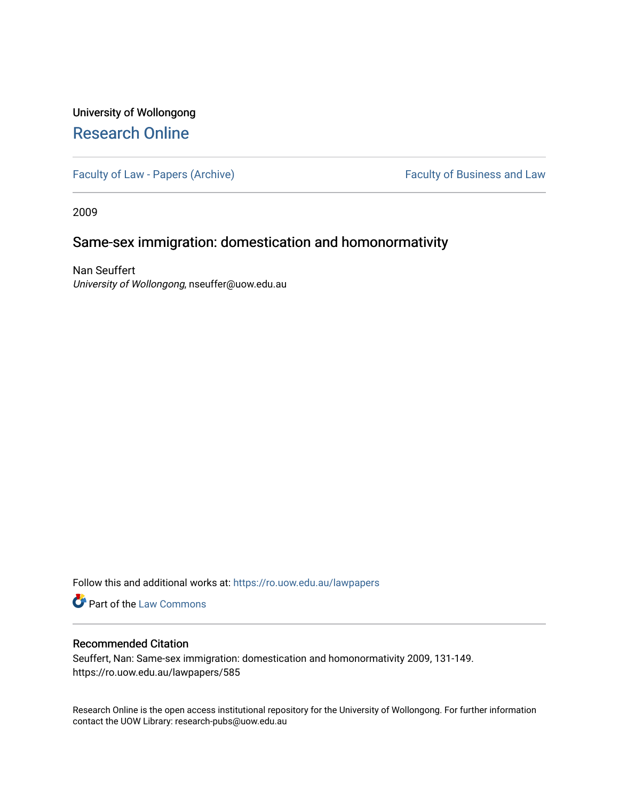# University of Wollongong [Research Online](https://ro.uow.edu.au/)

[Faculty of Law - Papers \(Archive\)](https://ro.uow.edu.au/lawpapers) Faculty of Business and Law

2009

# Same-sex immigration: domestication and homonormativity

Nan Seuffert University of Wollongong, nseuffer@uow.edu.au

Follow this and additional works at: [https://ro.uow.edu.au/lawpapers](https://ro.uow.edu.au/lawpapers?utm_source=ro.uow.edu.au%2Flawpapers%2F585&utm_medium=PDF&utm_campaign=PDFCoverPages) 

**Part of the [Law Commons](http://network.bepress.com/hgg/discipline/578?utm_source=ro.uow.edu.au%2Flawpapers%2F585&utm_medium=PDF&utm_campaign=PDFCoverPages)** 

## Recommended Citation

Seuffert, Nan: Same-sex immigration: domestication and homonormativity 2009, 131-149. https://ro.uow.edu.au/lawpapers/585

Research Online is the open access institutional repository for the University of Wollongong. For further information contact the UOW Library: research-pubs@uow.edu.au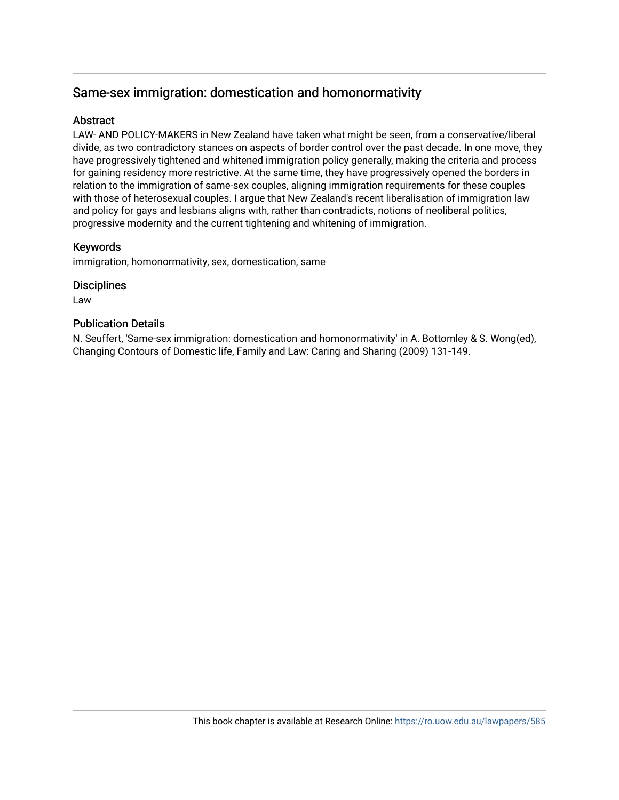# Same-sex immigration: domestication and homonormativity

# **Abstract**

LAW- AND POLICY-MAKERS in New Zealand have taken what might be seen, from a conservative/liberal divide, as two contradictory stances on aspects of border control over the past decade. In one move, they have progressively tightened and whitened immigration policy generally, making the criteria and process for gaining residency more restrictive. At the same time, they have progressively opened the borders in relation to the immigration of same-sex couples, aligning immigration requirements for these couples with those of heterosexual couples. I argue that New Zealand's recent liberalisation of immigration law and policy for gays and lesbians aligns with, rather than contradicts, notions of neoliberal politics, progressive modernity and the current tightening and whitening of immigration.

# Keywords

immigration, homonormativity, sex, domestication, same

# **Disciplines**

Law

# Publication Details

N. Seuffert, 'Same-sex immigration: domestication and homonormativity' in A. Bottomley & S. Wong(ed), Changing Contours of Domestic life, Family and Law: Caring and Sharing (2009) 131-149.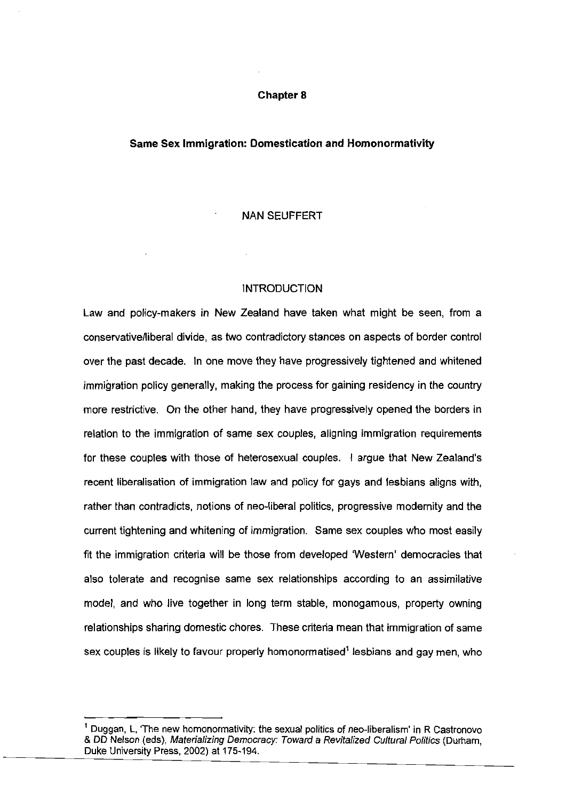## Chapter **8**

#### Same Sex Immigration: Domestication and Homonormativity

#### NANSEUFFERT

### INTRODUCTION

Law and policy-makers in New Zealand have taken what might be seen, from a conservative/liberal divide, as two contradictory stances on aspects of border control over the past decade. In one move they have progressively tightened and whitened immigration policy generally, making the process for gaining residency in the country more restrictive. On the other hand, they have progressively opened the borders in relation to the immigration of same sex couples, aligning immigration requirements for these couples with those of heterosexual couples. I argue that New Zealand's recent liberalisation of immigration law and policy for gays and lesbians aligns with, rather than contradicts, notions of neo-liberal politics, progressive modernity and the current tightening and whitening of immigration. Same sex couples who most easily fit the immigration criteria will be those from developed 'Western' democracies that also tolerate and recognise same sex relationships according to an assimilative model, and who live together in long term stable, monogamous, property owning relationships sharing domestic chores. These criteria mean that immigration of same sex couples is likely to favour properly homonormatised<sup>1</sup> lesbians and gay men, who

<sup>&</sup>lt;sup>1</sup> Duggan, L. 'The new homonormativity: the sexual politics of neo-liberalism' in R Castronovo **8,** DD Nelson (eds), Materializing Democracy: Toward a Revitalized Cultural Politics (Durham. Duke University Press, 2002) at **175-194.**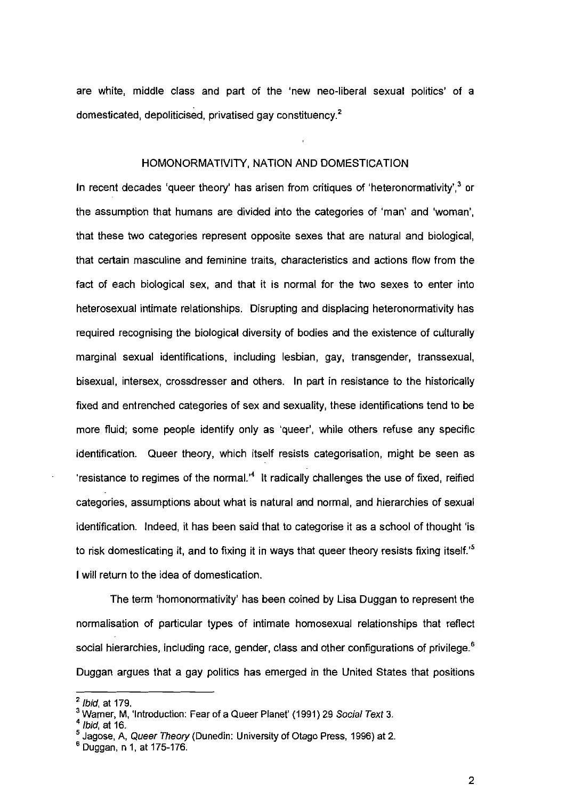are white, middle class and part of the 'new neo-liberal sexual politics' of a domesticated, depoliticised, privatised gay constituency.<sup>2</sup>

## HOMONORMATIVITY, NATION AND DOMESTICATION

In recent decades 'queer theory' has arisen from critiques of 'heteronormativity', $3$  or the assumption that humans are divided into the categories of 'man' and 'woman', that these two categories represent opposite sexes that are natural and biological, that certain masculine and feminine traits, characteristics and actions flow from the fact of each biological sex, and that it is normal for the two sexes to enter into heterosexual intimate relationships. Disrupting and displacing heteronormativity has required recognising the biological diversity of bodies and the existence of culturally marginal sexual identifications, including lesbian, gay, transgender, transsexual, bisexual, intersex, crossdresser and others. In part in resistance to the historically fixed and entrenched categories of sex and sexuality, these identifications tend to be more fluid; some people identify only as 'queer', while others refuse any specific identification. Queer theory, which itself resists categorisation, might be seen as 'resistance to regimes of the normal.' $4$  It radically challenges the use of fixed, reified categories, assumptions about what is natural and normal, and hierarchies of sexual identification. Indeed, it has been said that to categorise it as a school of thought 'is to risk domesticating it, and to fixing it in ways that queer theory resists fixing itself.<sup>15</sup> I will return to the idea of domestication.

The term 'homonormativity' has been coined by Lisa Duggan to represent the normalisation of particular types of intimate homosexual relationships that reflect social hierarchies, including race, gender, class and other configurations of privilege.<sup>6</sup> Duggan argues that a gay politics has emerged in the United States that positions

 $<sup>2</sup>$  lbid, at 179.</sup>

<sup>&</sup>lt;sup>3</sup> Warner, M, 'Introduction: Fear of a Queer Planet' (1991) 29 Social Text 3.

 $<sup>4</sup>$  lbid, at 16.</sup>

<sup>&</sup>lt;sup>5</sup> Jagose, A, Queer Theory (Dunedin: University of Otago Press, 1996) at 2.

Duggan, n 1, at 175-176.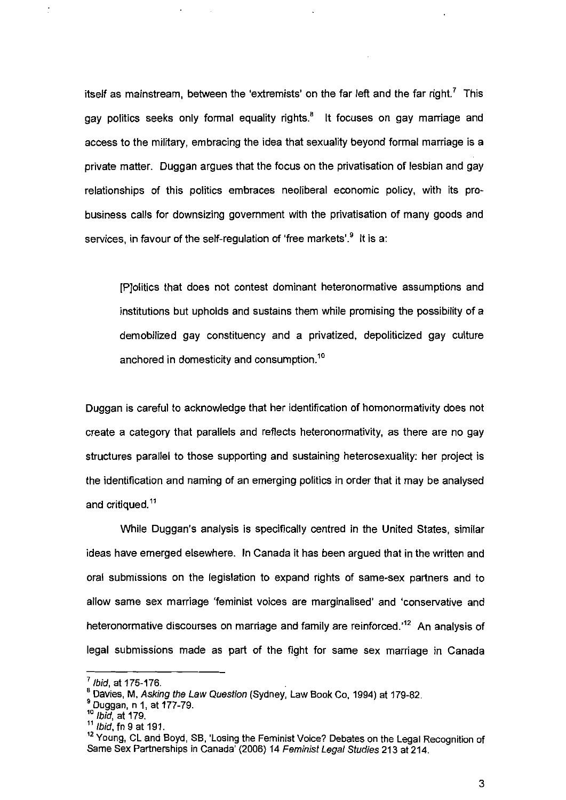itself as mainstream, between the 'extremists' on the far left and the far right.<sup>7</sup> This gay politics seeks only formal equality rights.<sup>8</sup> It focuses on gay marriage and access to the military, embracing the idea that sexuality beyond formal marriage is a private matter. Duggan argues that the focus on the privatisation of lesbian and gay relationships of this politics embraces neoliberal economic policy, with its probusiness calls for downsizing government with the privatisation of many goods and services, in favour of the self-regulation of 'free markets'. $9$  It is a:

[Plolitics that does not contest dominant heteronormative assumptions and institutions but upholds and sustains them while promising the possibility of a demobilized gay constituency and a privatized, depoliticized gay culture anchored in domesticity and consumption.<sup>10</sup>

Duggan is careful to acknowledge that her identification of homonormativity does not create a category that parallels and reflects heteronormativity, as there are no gay structures parallel to those supporting and sustaining heterosexuality: her project is the identification and naming of an emerging politics in order that it may be analysed and critiqued.<sup>11</sup>

While Duggan's analysis is specifically centred in the United States, similar ideas have emerged elsewhere. In Canada it has been argued that in the written and oral submissions on the legislation to expand rights of same-sex partners and to allow same sex marriage 'feminist voices are marginalised' and 'conservative and heteronormative discourses on marriage and family are reinforced.<sup>12</sup> An analysis of legal submissions made as part of the fight for same sex marriage in Canada

 $\frac{7}{8}$  *ibid*, at 175-176.<br> $\frac{8}{8}$  Davies, M, *Asking the Law Question* (Sydney, Law Book Co, 1994) at 179-82.

**<sup>9</sup>** Duggan, n 1, at 177-79.

 $10$  ibid, at 179.

 $11$  *Ibid*, fn 9 at 191.

**l2** Young, CL and Boyd, SE, 'Losing the Feminist Voice? Debates on the Legal Recognition of Same Sex Partnerships in Canada' (2006) 14 Feminist Legal Studies 213 at 214.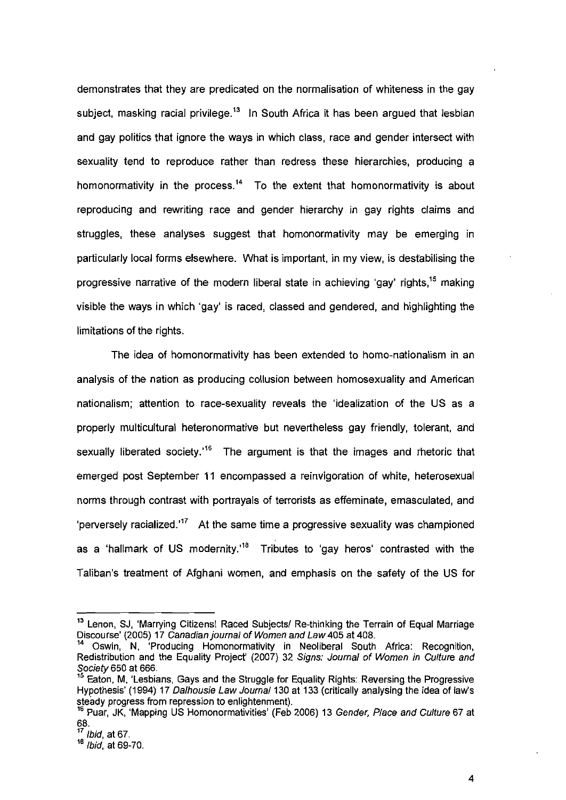demonstrates that they are predicated on the normalisation of whiteness in the gay subject, masking racial privilege.<sup>13</sup> In South Africa it has been argued that lesbian and gay politics that ignore the ways in which class, race and gender intersect with sexuality tend to reproduce rather than redress these hierarchies, producing a homonormativity in the process.<sup>14</sup> To the extent that homonormativity is about reproducing and rewriting race and gender hierarchy in gay rights claims and struggles, these analyses suggest that homonormativity may be emerging in particularly local forms elsewhere. What is important, in my view, is destabilising the progressive narrative of the modern liberal state in achieving 'gay' rights.<sup>15</sup> making visible the ways in which 'gay' is raced, classed and gendered, and highlighting the limitations of the rights.

The idea of homonormativity has been extended to homo-nationalism in an analysis of the nation as producing collusion between homosexuality and American nationalism; attention to race-sexuality reveals the 'idealization of the US as a properly multicultural heteronormative but nevertheless gay friendly, tolerant, and sexually liberated society.<sup>16</sup> The argument is that the images and rhetoric that emerged post September **11** encompassed a reinvigoration of white, heterosexual norms through contrast with portrayals of terrorists as effeminate, emasculated, and 'perversely racialized."<sup>17</sup> At the same time a progressive sexuality was championed as a 'hallmark of US modernity.'<sup>18</sup> Tributes to 'gay heros' contrasted with the Taliban's treatment of Afghani women, and emphasis on the safety of the US for

<sup>&</sup>lt;sup>13</sup> Lenon, SJ, 'Marrying Citizens! Raced Subjects/ Re-thinking the Terrain of Equal Marriage Discourse' (2005) 17 Canadian journal of Women and Law 405 at 408.

Discourse (2005) I'l Carladian Journal of Women and Law 405 at 408.<br><sup>14</sup> Oswin, N, 'Producing Homonormativity in Neoliberal South Africa: Recognition, Redistribution and the Equality Project' (2007) 32 Signs: Journal of Women in Culture and Society 650 at 666.<br><sup>15</sup> Eaton M<sup>37</sup>

**<sup>15</sup>**Eaton, M. 'Lesbians, Gays and the Struggle for Equality Rights: Reversing the Progressive Hypothesis' (1994) 17 Dalhousie Law Journal 130 at 133 (critically analysing the idea of law's steady progress from repression to enlightenment).

<sup>&</sup>lt;sup>16</sup> Puar, JK, 'Mapping US Homonormativities' (Feb 2006) 13 Gender, Place and Culture 67 at 68.<br><sup>17</sup> Ibid, at 67.

 $18$  *Ibid.* at 69-70.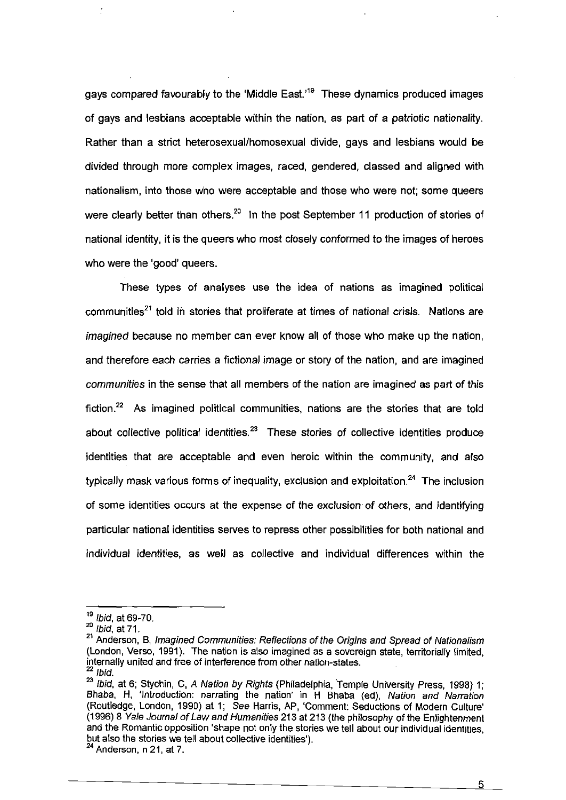gays compared favourably to the 'Middle East.'<sup>19</sup> These dynamics produced images of gays and lesbians acceptable within the nation, as part of a patriotic nationality. Rather than a strict heterosexuallhomosexual divide, gays and lesbians would be divided through more complex images, raced, gendered, classed and aligned with nationalism, into those who were acceptable and those who were not; some queers were clearly better than others.<sup>20</sup> In the post September 11 production of stories of national identity, it is the queers who most closely conformed to the images of heroes who were the 'good' queers.

These types of analyses use the idea of nations as imagined political communities<sup>21</sup> told in stories that proliferate at times of national crisis. Nations are imagined because no member can ever know all of those who make up the nation, and therefore each carries a fictional image or story of the nation, and are imagined communities in the sense that all members of the nation are imagined as part of this fiction.<sup>22</sup> As imagined political communities, nations are the stories that are told about collective political identities. $^{23}$  These stories of collective identities produce identities that are acceptable and even heroic within the community, and also typically mask various forms of inequality, exclusion and exploitation. $24$  The inclusion of some identities occurs at the expense of the exclusion of others, and identifying particular national identities serves to repress other possibilities for both national and individual identities, as well as collective and individual differences within the

<sup>&</sup>lt;sup>19</sup> *lbid*, at 69-70.

 $^{20}$  *Ibid*, at 71.

**<sup>21</sup>**  Anderson. B, Imagined Communities: Reflections of the Origins and Spread of Nationalism (London, Verso, 1991). The nation is also imagined as a sovereign state, territorially limited, internally united and free of interference from other nation-states. **<sup>22</sup>**lbid.

**<sup>23</sup>**lbid, at 6; Stychin, C, A Nation by Rights (Philadelphia, 'Temple University Press, 1998) 1; Bhaba, H, 'Introduction: narrating the nation' in H Bhaba (ed), Nation and Narration (Routledge, London, 1990) at 1; See Harris, AP, 'Comment: Seductions of Modern Culture' (1996) **8** Yale Journal of Law and Humanities 213 at 213 (the philosophy of the Enlightenment and the Romantic opposition 'shape not only the stories we tell about our individual identities, but also the stories we tell about collective identities').  $^{24}$  Anderson, n 21, at 7.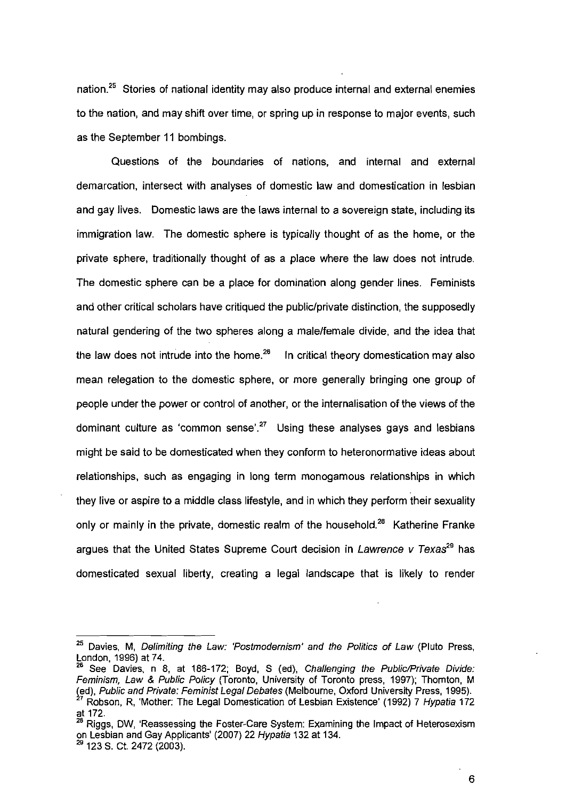nation.<sup>25</sup> Stories of national identity may also produce internal and external enemies to the nation, and may shift over time, or spring up in response to major events, such as the September 11 bombings.

Questions of the boundaries of nations, and internal and external demarcation, intersect with analyses of domestic law and domestication in lesbian and gay lives. Domestic laws are the laws internal to a sovereign state, including its immigration law. The domestic sphere is typically thought of as the home, or the private sphere, traditionally thought of as a place where the law does not intrude. The domestic sphere can be a place for domination along gender lines. Feminists and other critical scholars have critiqued the public/private distinction, the supposedly natural gendering of the two spheres along a malelfernale divide, and the idea that the law does not intrude into the home. $2<sup>8</sup>$  in critical theory domestication may also mean relegation to the domestic sphere, or more generally bringing one group of people under the power or control of another, or the internalisation of the views of the dominant culture as 'common sense'. $27$  Using these analyses gays and lesbians might be said to be domesticated when they conform to heteronormative ideas about relationships, such as engaging in long term monogamous relationships in which they live or aspire to a middle class lifestyle, and in which they perform their sexuality only or mainly in the private, domestic realm of the household.<sup>28</sup> Katherine Franke argues that the United States Supreme Court decision in Lawrence  $v$  Texas<sup>29</sup> has domesticated sexual liberty, creating a legal landscape that is likely to render

 $25$  Davies, M, Delimiting the Law: 'Postmodernism' and the Politics of Law (Pluto Press, London. 1996) at 74.

<sup>&</sup>lt;sup>26</sup> See Davies, n 8, at 186-172; Boyd, S (ed), Challenging the Public/Private Divide: Feminism, Law **8** Public Policy (Toronto, University of Toronto press, 1997); Thomton, M ed). Public and Private: Feminist Legal Debates (Melbourne, Oxford University Press, 1995).

L Robson, R, 'Mother: The Legal Domestication of Lesbian Existence' (1992) 7 Hypafia 172 at 172.

Riggs, DW, 'Reassessing the Foster-Care System: Examining the Impact of Heterosexism on Lesbian and Gay Applicants' (2007) 22 Hypatia 132 at 134.

 $29$  123 S. Ct. 2472 (2003).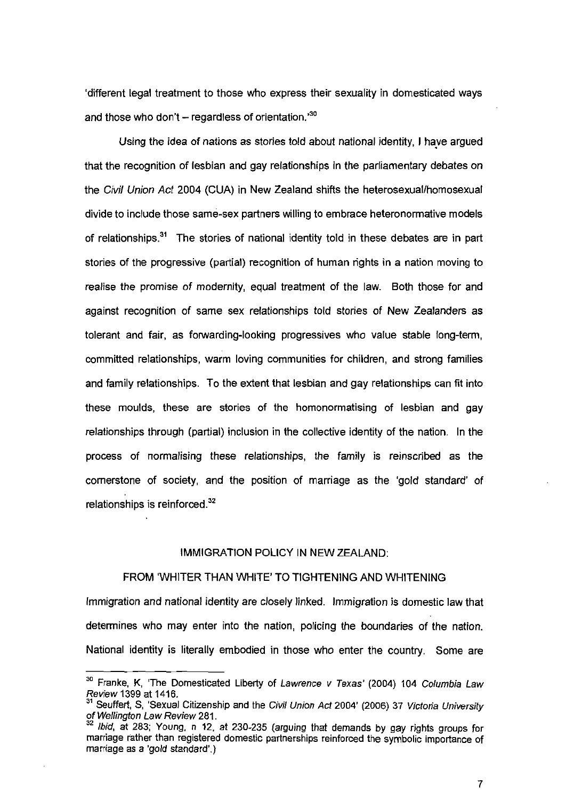'different legal treatment to those who express their sexuality in domesticated ways and those who don't  $-$  regardless of orientation.<sup>30</sup>

Using the idea of nations as stories told about national identity. I have argued that the recognition of lesbian and gay relationships in the parliamentary debates on the Civil Union Act 2004 (CUA) in New Zealand shifts the heterosexual/homosexual divide to include those same-sex partners willing to embrace heteronormative models of relationships. $31$  The stories of national identity told in these debates are in part stories of the progressive (partial) recognition of human rights in a nation moving to realise the promise of modernity, equal treatment of the law. Both those for and against recognition of same sex relationships told stories of New Zealanders as tolerant and fair, as forwarding-looking progressives who value stable long-term, committed relationships, warm loving communities for children, and strong families and family relationships. To the extent that lesbian and gay relationships can fit into these moulds, these are stories of the homonormatising of lesbian and gay relationships through (partial) inclusion in the collective identity of the nation. In the process of normalising these relationships, the family is reinscribed as the cornerstone of society, and the position of marriage as the 'gold standard' of relationships is reinforced. $^{32}$ 

#### IMMIGRATION POLICY IN NEW ZEALAND:

#### FROM 'WHITER THAN WHITE' TO TIGHTENING AND WHITENING

lmmigration and national identity are closely linked. Immigration is domestic law that determines who may enter into the nation, policing the boundaries of the nation. National identity is literally embodied in those who enter the country. Some are

**<sup>30</sup>**Franke. K, 'The Domesticated Liberty of Lawrence v Texas' (2004) 104 Columbia Law Review 1399 at 1416.

Seuffert, S, 'Sexual Citizenship and the Civil Union Act 2004' (2006) 37 Victoria University of Wellington Law Review 281.

Ibid, at 283; Young, n 12, at 230-235 (arguing that demands by gay rights groups for marriage rather than registered domestic partnerships reinforced the symbolic importance of marriage as a 'gold standard'.)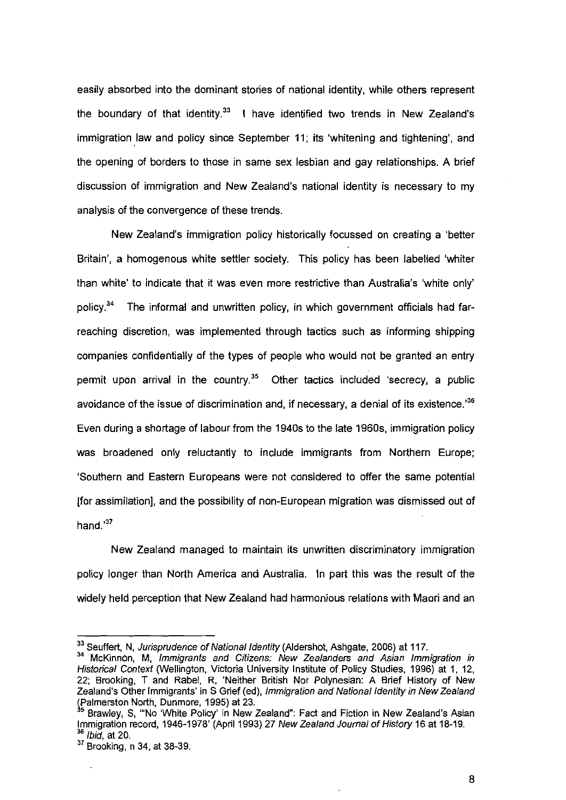easily absorbed into the dominant stories of national identity, while others represent the boundary of that identity.<sup>33</sup> I have identified two trends in New Zealand's immigration law and policy since September 11; its 'whitening and tightening', and the opening of borders to those in same sex lesbian and gay relationships. A brief discussion of immigration and New Zealand's national identity is necessary to my analysis of the convergence of these trends.

New Zealand's immigration policy historically focussed on creating a 'better Britain', a homogenous white settler society. This policy has been labelled 'whiter than white' to indicate that it was even more restrictive than Australia's 'white only' policy. $34$  The informal and unwritten policy, in which government officials had farreaching discretion, was implemented through tactics such as informing shipping companies confidentially of the types of people who would not be granted an entry permit upon arrival in the country. $35$  Other tactics included 'secrecy, a public avoidance of the issue of discrimination and, if necessary, a denial of its existence.<sup>36</sup> Even during a shortage of labour from the 1940s to the late 1960s, immigration policy was broadened only reluctantly to include immigrants from Northern Europe; 'Southern and Eastern Europeans were not considered to offer the same potential [for assimilation], and the possibility of non-European migration was dismissed out of hand.'<sup>37</sup>

New Zealand managed to maintain its unwritten discriminatory immigration policy longer than North America and Australia. In part this was the result of the widely held perception that New Zealand had harmonious relations with Maori and an

<sup>&</sup>lt;sup>33</sup> Seuffert, N, Jurisprudence of National Identity (Aldershot, Ashgate, 2006) at 117.

**<sup>34</sup>**McKinnon, M, Immigrants and Citizens: New Zealanders and Asian lmmigration in Historical Context (Wellington, Victoria University Institute of Policy Studies, 1996) at 1, 12, 22; Brooking, T and Rabel, R, 'Neither British Nor Polynesian: A Brief History of New Zealand's Other Immigrants' in S Grief (ed), lmmigration and National Identity in New Zealand (Palmerston North, Dunmore, 1995) at 23.<br><sup>35</sup> Braudeve Ru<sup>nch</sup> 1995, at 23.

Brawley, S, "'No 'White Policy' in New Zealand": Fact and Fiction in New Zealand's Asian Immigration record, 1946-1978' (April 1993) 27 NewZealand Journal of History 16 at 18-19. Ibid, at 20.

<sup>37</sup> Brooking, n 34, at 38-39.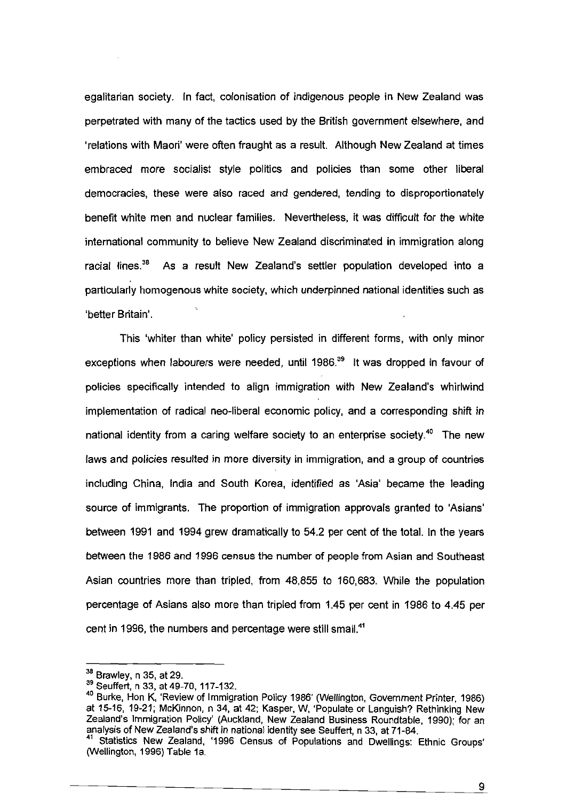egalitarian society. In fact, colonisation of indigenous people in New Zealand was perpetrated with many of the tactics used by the British government elsewhere, and 'relations with Maori' were often fraught as a result. Although New Zealand at times embraced more socialist style politics and policies than some other liberal democracies, these were also raced and gendered, tending to disproportionately benefit white men and nuclear families. Nevertheless, it was difficult for the white international community to believe New Zealand discriminated in immigration along racial lines.<sup>38</sup> As a result New Zealand's settler population developed into a particularly homogenous white society, which underpinned national identities such as 'better Britain'.

This 'whiter than white' policy persisted in different forms, with only minor exceptions when labourers were needed, until 1986.<sup>39</sup> It was dropped in favour of policies specifically intended to align immigration with New Zealand's whirlwind implementation of radical neo-liberal economic policy, and a corresponding shift in national identity from a caring welfare society to an enterprise society.<sup>40</sup> The new laws and policies resulted in more diversity in immigration, and a group of countries including China, India and South Korea, identified as 'Asia' became the leading source of immigrants. The proportion of immigration approvals granted to 'Asians' between 1991 and 1994 grew dramatically to 54.2 per cent of the total. In the years between the 1986 and 1996 census the number of people from Asian and Southeast Asian countries more than tripled, from 48,855 to 160,683. While the population percentage of Asians also more than tripled from 1.45 per cent in 1986 to 4.45 per cent in 1996, the numbers and percentage were still small.<sup>41</sup>

<sup>&</sup>lt;sup>38</sup> Brawley, n 35, at 29.<br><sup>39</sup> Seuffert, n 33, at 49-70, 117-132.

<sup>&</sup>lt;sup>40</sup> Burke, Hon K. 'Review of Immigration Policy 1986' (Wellington, Government Printer, 1986) at 15-16, 19-21; McKinnon, **n** 34, at 42; Kasper. W, 'Populate or Languish? Rethinking New Zealand's Immigration Policy' (Auckland, New Zealand Business Roundtable. 1990); for an analysis of New Zealand's shift in national identity see Seuffert, n 33. at 71-84.

**<sup>41</sup>**Statistics New Zealand. '1996 Census of Populations and Dwellings: Ethnic Groups' (Wellington, 1996) Table **la.**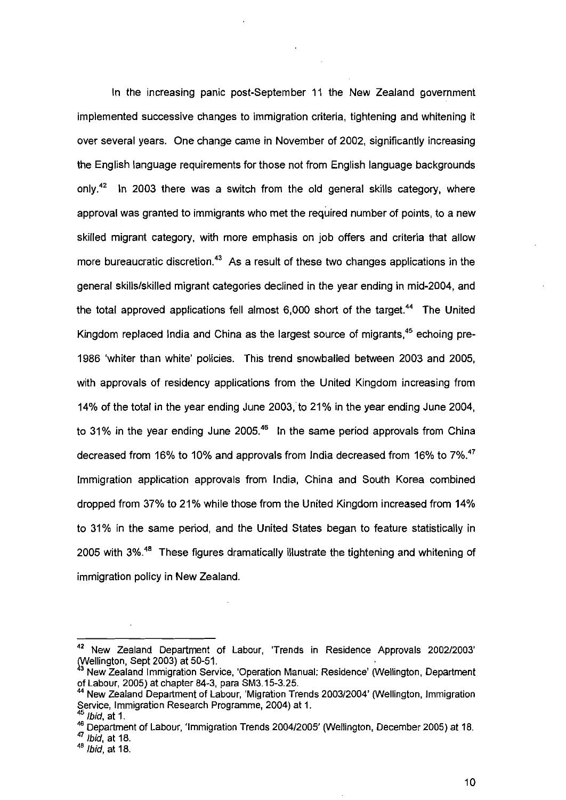In the increasing panic post-September 11 the New Zealand government implemented successive changes to immigration criteria, tightening and whitening it over several years. One change came in November of 2002, significantly increasing the English language requirements for those not from English language backgrounds only.<sup>42</sup> In 2003 there was a switch from the old general skills category, where approval was granted to immigrants who met the required number of points, to a new skilled migrant category, with more emphasis on job offers and criteria that allow more bureaucratic discretion.<sup>43</sup> As a result of these two changes applications in the general skillslskilled migrant categories declined in the year ending in mid-2004, and the total approved applications fell almost  $6.000$  short of the target.<sup>44</sup> The United Kingdom replaced India and China as the largest source of migrants.<sup>45</sup> echoing pre-1986 'whiter than white' policies. This trend snowballed between 2003 and 2005, with approvals of residency applications from the United Kingdom increasing from 14% of the total in the year ending June 2003,to 21% in the year ending June 2004, to 31% in the year ending June 2005.<sup>46</sup> In the same period approvals from China decreased from 16% to 10% and approvals from India decreased from 16% to 7%.<sup>47</sup> lmmigration application approvals from lndia, China and South Korea combined dropped from 37% to 21% while thosefrom the United Kingdom increased from 14% to 31% in the same period, and the United States began to feature statistically in 2005 with 3%.<sup>48</sup> These figures dramatically illustrate the tightening and whitening of immigration policy in New Zealand.

**<sup>42</sup>**New Zealand Department of Labour, 'Trends in Residence Approvals 200212003'  $\frac{1}{2}$  Wellington, Sept 2003) at 50-51.

<sup>13</sup> New Zealand Immigration Service, 'Operation Manual: Residence' (Wellington, Department<br>of Labour, 2005) at chapter 84-3, para SM3.15-3.25.

<sup>&</sup>lt;sup>44</sup> New Zealand Department of Labour, 'Migration Trends 2003/2004' (Wellington, Immigration Service, Immigration Research Programme, 2004) at 1.

<sup>45</sup>**/bid,** at 1.

<sup>46</sup> Department of Labour, 'Immigration Trends 2004/2005' (Wellington, December 2005) at 18.<br><sup>47</sup> *Ibid*, at 18.

<sup>48</sup> **/bid,** at 18.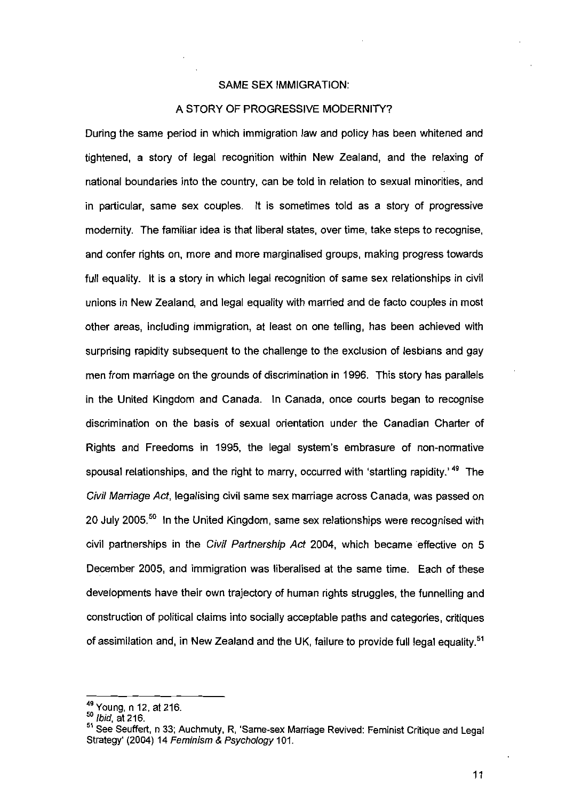## SAME SEX IMMIGRATION:

### A STORY OF PROGRESSIVE MODERNITY?

During the same period in which immigration law and policy has been whitened and tightened, a story of legal recognition within New Zealand, and the relaxing of national boundaries into the country, can be told in relation to sexual minorities, and in particular, same sex couples. It is sometimes told as a story of progressive modernity. The familiar idea is that liberal states, over time, take steps to recognise, and confer rights on, more and more marginalised groups, making progress towards full equality. It is a story in which legal recognition of same sex relationships in civil unions in New Zealand, and legal equality with married and de facto couples in most other areas, including immigration, at least on one telling, has been achieved with surprising rapidity subsequent to the challenge to the exclusion of lesbians and gay men from marriage on the grounds of discrimination in 1996. This story has parallels in the United Kingdom and Canada. In Canada, once courts began to recognise discrimination on the basis of sexual orientation under the Canadian Charter of Rights and Freedoms in 1995, the legal system's embrasure of non-normative spousal relationships, and the right to marry, occurred with 'startling rapidity.' **49** The Civil Marriage **Act,** legalising civil same sex marriage across Canada, was passed on 20 July 2005.<sup>50</sup> In the United Kingdom, same sex relationships were recognised with civil partnerships in the Civil Partnership **Act** 2004, which became 'effective on 5 December 2005, and immigration was liberalised at the same time. Each of these developments have their own trajectory of human rights struggles, the funnelling and construction of political claims into socially acceptable paths and categories, critiques of assimilation and, in New Zealand and the UK, failure to provide full legal equality.<sup>51</sup>

<sup>&</sup>lt;sup>49</sup> Young, n 12, at 216.

<sup>50</sup> Ibid. at 216.

**<sup>51</sup>**See Seuffert, n 33; Auchmuty. R, 'Same-sex Marflage Revived: Feminist Critique and Legal Strategy' (2004) 14 Feminism & Psychology 101.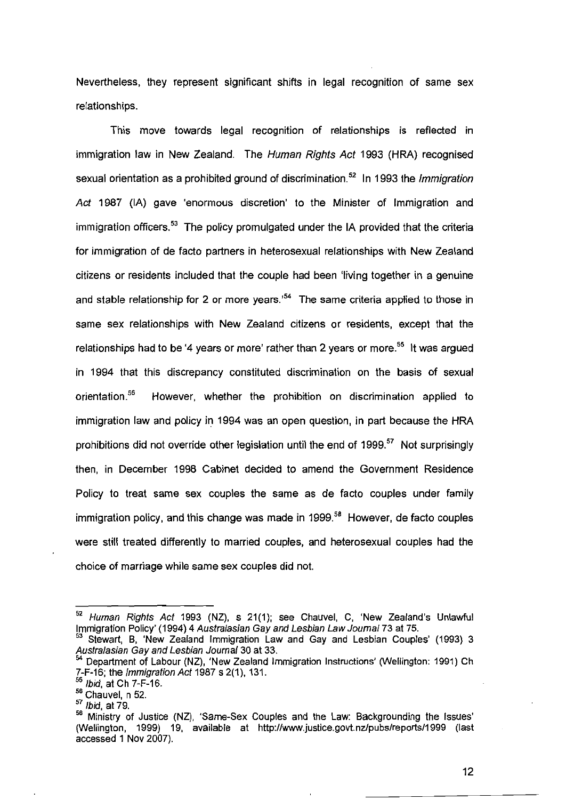Nevertheless, they represent significant shifts in legal recognition of same sex relationships.

This move towards legal recognition of relationships is reflected in immigration law in New Zealand. The Human Rights Act 1993 (HRA) recognised sexual orientation as a prohibited ground of discrimination.<sup>52</sup> In 1993 the *Immigration* Act 1987 (IA) gave 'enormous discretion' to the Minister of lmmigration and immigration officers.<sup>53</sup> The policy promulgated under the IA provided that the criteria for immigration of de facto partners in heterosexual relationships with New Zealand citizens or residents included that the couple had been 'living together in a genuine and stable relationship for 2 or more years.<sup>54</sup> The same criteria applied to those in same sex relationships with New Zealand citizens or residents, except that the relationships had to be '4 years or more' rather than 2 years or more.<sup>55</sup> It was argued in 1994 that this discrepancy constituted discrimination on the basis of sexual orientation.<sup>56</sup> However, whether the prohibition on discrimination applied to immigration law and policy in 1994 was an open question, in part because the HRA prohibitions did not override other legislation until the end of 1999.<sup>57</sup> Not surprisingly then, in December 1998 Cabinet decided to amend the Government Residence Policy to treat same sex couples the same as de facto couples under family immigration policy, and this change was made in  $1999$ <sup>58</sup> However, de facto couples were still treated differently to married couples, and heterosexual couples had the choice of marriage while same sex couples did not.

<sup>52</sup> Human Rights Act 1993 (NZ), S 21(1); see Chauvel, C, 'New Zealand's Unlawful Immigration Policy' (1994) 4 Australasian Gay and Lesbian Law Journal 73 at 75.

 $3$  Stewart, B, 'New Zealand Immigration Law and Gay and Lesbian Couples' (1993) 3 Australasian Gay and Lesbian Journal 30 at 33.

**<sup>54</sup>**Department of Labour (NZ), 'New Zealand lmmigration Instructions' (Wellington: 1991) Ch 7-F-16; the *Immigration Act* 1987 s 2(1), 131.

 $\frac{55}{10}$  *lbid*, at Ch 7-F-16.  $56$  Chauvel, n 52.

 $57$  *lbid*, at 79.

<sup>56</sup> Ministry of Justice (NZ), 'Same-Sex Couples and the Law: Backgrounding the Issues' (Wellington, 1999) 19, available at http://www.justice.govt.nz/pubs/reports/1999 (last accessed 1 Nov 2007).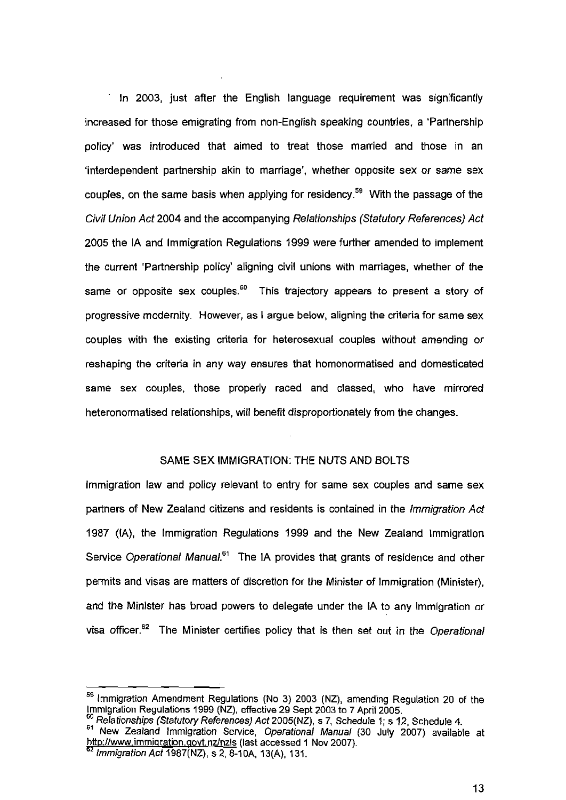In 2003, just after the English language requirement was significantly increased for those emigrating from non-English speaking countries, a 'Partnership policy' was introduced that aimed to treat those married and those in an 'interdependent partnership akin to marriage', whether opposite sex or same sex couples, on the same basis when applying for residency.<sup>59</sup> With the passage of the Civil Union Act 2004 and the accompanying Relationships (Statufory References) Act 2005 the IA and lmmigration Regulations 1999 were further amended to implement the current 'Partnership policy' aligning civil unions with marriages, whether of the same or opposite sex couples.<sup>50</sup> This trajectory appears to present a story of progressive modernity. However, as I argue below, aligning the criteria for same sex couples with the existing criteria for heterosexual couples without amending or reshaping the criteria in any way ensures that homonormatised and domesticated same sex couples, those properly raced and classed, who have mirrored heteronormatised relationships, will benefit disproportionately from the changes.

## SAME SEX IMMIGRATION: THE NUTS AND BOLTS

lmmigration law and policy relevant to entry for same sex couples and same sex partners of New Zealand citizens and residents is contained in the *Immigration Act* 1987 (IA), the lmmigration Regulations 1999 and the New Zealand lmmigration Service Operational Manual. $61$  The IA provides that grants of residence and other permits and visas are matters of discretion for the Minister of lmmigration (Minister), and the Minister has broad powers to delegate under the IA to any immigration or visa officer.<sup>62</sup> The Minister certifies policy that is then set out in the Operational

**<sup>59</sup>**Immigration Amendment Regulations (No 3) 2003 (NZ), amending Regulation 20 of the Immigration Regulations 1999 (NZ), effective 29 Sept 2003 to 7 April 2005.

Relationships (Statutory References) Act 2005(NZ), S 7, Schedule 1; S 12, Schedule **4.** 

**<sup>61</sup>**New Zealand Immigration Service, Operational Manual (30 July 2007) available at http://www.immigration.govt.nz/nzis (last accessed 1 Nov 2007). Immigration Act 1987(NZ), s 2, 8-10A, 13(A), 131.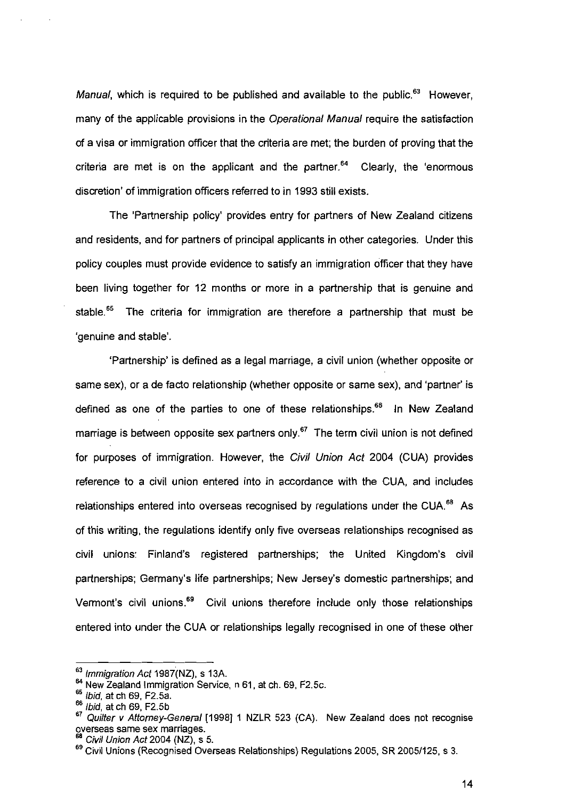Manual, which is required to be published and available to the public.<sup>63</sup> However, many of the applicable provisions in the Operational Manual require the satisfaction of a visa or immigration officer that the criteria are met; the burden of proving that the criteria are met is on the applicant and the partner.<sup>64</sup> Clearly, the 'enormous' discretion' of immigration officers referred to in 1993 still exists.

The 'Partnership policy' provides entry for partners of New Zealand citizens and residents, and for partners of principal applicants in other categories. Under this policy couples must provide evidence to satisfy an immigration officer that they have been living together for l2 months or more in a partnership that is genuine and stable.<sup>65</sup> The criteria for immigration are therefore a partnership that must be 'genuine and stable'.

'Partnership' is defined as a legal marriage, a civil union (whether opposite or same sex), or a de facto relationship (whether opposite or same sex), and 'partner' is defined as one of the parties to one of these relationships.<sup>66</sup> In New Zealand marriage is between opposite sex partners only. $67$  The term civil union is not defined for purposes of immigration. However, the Civil Union Act 2004 (CUA) provides reference to a civil union entered into in accordance with the CUA, and includes relationships entered into overseas recognised by regulations under the CUA.<sup>68</sup> As of this writing, the regulations identify only five overseas relationships recognised as civil unions: Finland's registered partnerships; the United Kingdom's civil partnerships; Germany's life partnerships; New Jersey's domestic partnerships; and Vermont's civil unions.<sup>69</sup> Civil unions therefore include only those relationships entered into under the CUA or relationships legally recognised in one of these other

<sup>&</sup>lt;sup>63</sup> Immigration Act 1987(NZ), s 13A.

<sup>&</sup>lt;sup>64</sup> New Zealand Immigration Service, n 61, at ch. 69, F2.5c.

**<sup>65</sup>**lbid, at ch 69. F2.5a.

 $66$  *lbid*, at ch 69, F2.5b

<sup>&</sup>lt;sup>67</sup> Quilter v Attorney-General [1998] 1 NZLR 523 (CA). New Zealand does not recognise overseas same sex marriages.

Civil Union Act 2004 (NZ), S 5.

<sup>&</sup>lt;sup>69</sup> Civil Unions (Recognised Overseas Relationships) Regulations 2005, SR 2005/125, s 3.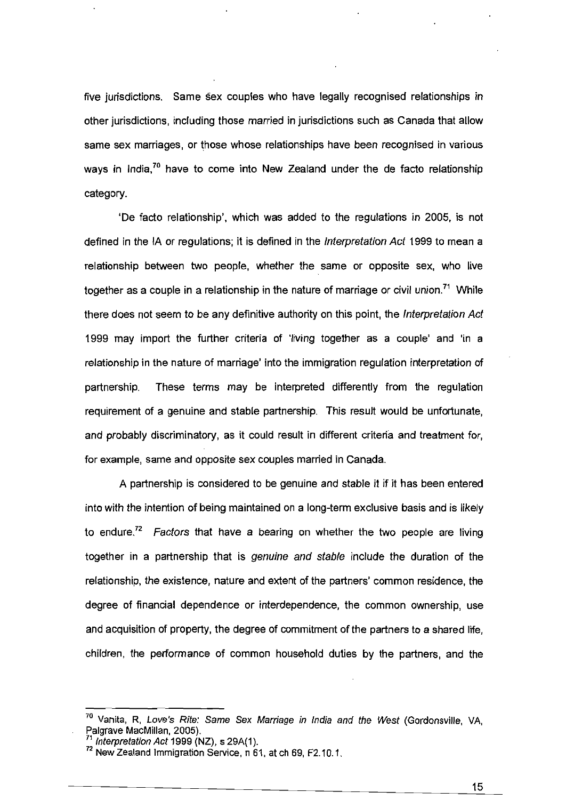five jurisdictions. Same sex couples who have legally recognised relationships in other jurisdictions, including those married in jurisdictions such as Canada that allow same sex marriages, or those whose relationships have been recognised in various ways in  $India<sup>70</sup>$  have to come into New Zealand under the de facto relationship category.

'De facto relationship', which was added to the regulations in 2005, is not defined in the IA or regulations; it is defined in the lnterpretation Act 1999 to mean **a**  relationship between two people, whether the same or opposite sex, who live together as a couple in a relationship in the nature of marriage or civil union.<sup>71</sup> While there does not seem to be any definitive authority on this point, the *Interpretation Act* 1999 may import the further criteria of 'living together as a couple' and 'in a relationship in the nature of marriage' into the immigration regulation interpretation of partnership. These terms may be interpreted differently from the regulation requirement of a genuine and stable partnership. This result would be unfortunate, and probably discriminatory, as it could result in different criteria and treatment for, for example, same and opposite sex couples married in Canada.

A partnership is considered to be genuine and stable it if it has been entered into with the intention of being maintained on a long-term exclusive basis and is likely to endure.<sup>72</sup> Factors that have a bearing on whether the two people are living together in a partnership that is genuine and stable include the duration of the relationship, the existence, nature and extent of the partners' common residence, the degree of financial dependence or interdependence, the common ownership, use and acquisition of property, the degree of commitment of the partners to a shared life, children, the performance of common household duties by the partners, and the

<sup>&</sup>lt;sup>70</sup> Vanita, R, Love's Rite: Same Sex Marriage in India and the West (Gordonsville, VA, Palgrave MacMillan, 2005).

**<sup>71</sup>**lntelpretation Act 1999 (NZ), **s** 29A(1).

**<sup>72</sup>**New Zealand Immigration Service, n 61. at ch 69, F2.10.1.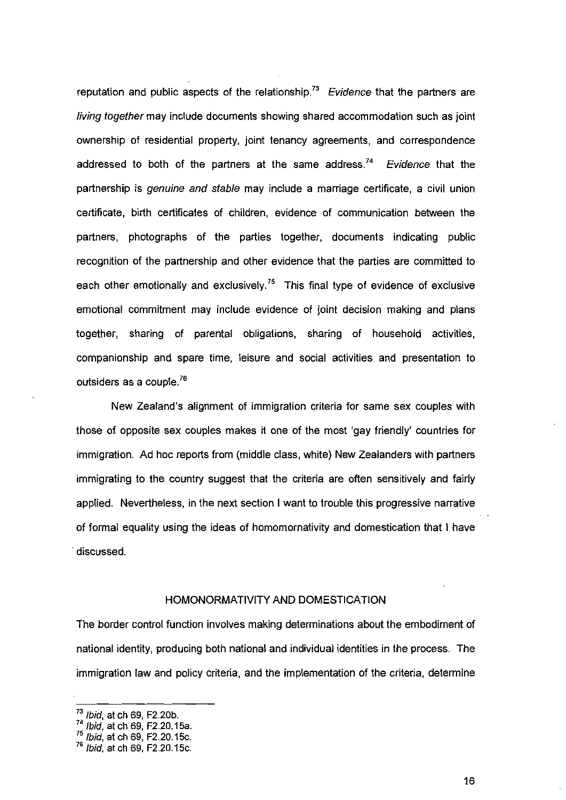reputation and public aspects of the relationship.<sup>73</sup> Evidence that the partners are living together may include documents showing shared accommodation such as joint ownership of residential property, joint tenancy agreements, and correspondence addressed to both of the partners at the same address.<sup>74</sup> Evidence that the partnership is genuine and stable may include a marriage certificate, a civil union certificate, birth certificates of children, evidence of communication between the partners, photographs of the parties together, documents indicating public recognition of the partnership and other evidence that the parties are committed to each other emotionally and exclusively.<sup>75</sup> This final type of evidence of exclusive emotional commitment may include evidence of joint decision making and plans together, sharing of parental obligations, sharing of household activities, companionship and spare time, leisure and social activities and presentation to outsiders as a couple.<sup>76</sup>

New Zealand's alignment of immigration criteria for same sex couples with those of opposite sex couples makes it one of the most 'gay friendly' countries for immigration. Ad hoc reports from (middle class, white) New Zealanders with partners immigrating to the country suggest that the criteria are often sensitively and fairly applied. Nevertheless, in the next section I want to trouble this progressive narrative of formal equality using the ideas of homomornativity and domestication that I have discussed.

#### HOMONORMATIVITY AND DOMESTICATION

The border control function involves making determinations about the embodiment of national identity, producing both national and individual identities in the process. The immigration law and policy criteria, and the implementation of the criteria, determine

<sup>73</sup> lbid, at ch 69, F2.20b.

**<sup>74</sup>**Ibid. at ch 69, F2.20.15a.

<sup>75</sup> *lbid*, at ch 69, F2.20.15c.<br><sup>76</sup> *lbid*, at ch 69, F2.20.15c.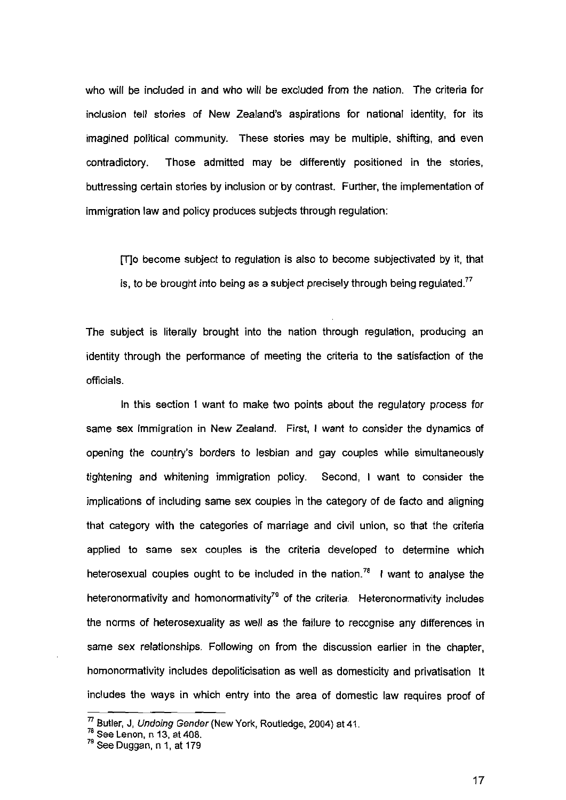who will be included in and who will be excluded from the nation. The criteria for inclusion tell stories of New Zealand's aspirations for national identity, for its imagined political community. These stories may be multiple, shifting, and even contradictory. Those admitted may be differently positioned in the stories. buttressing certain stories by inclusion or by contrast. Further, the implementation of immigration law and policy produces subjects through regulation:

ITI become subject to regulation is also to become subjectivated by it, that is, to be brought into being as a subject precisely through being regulated. $77$ 

The subject is literally brought into the nation through regulation, producing an identity through the performance of meeting the criteria to the satisfaction of the officials.

In this section I want to make two points about the regulatory process for same sex immigration in New Zealand. First, I want to consider the dynamics of opening the country's borders to lesbian and gay couples while simultaneously tightening and whitening immigration policy. Second, I want to consider the implications of including same sex couples in the category of de facto and aligning that category with the categories of marriage and civil union, so that the criteria applied to same sex couples is the criteria developed to determine which heterosexual couples ought to be included in the nation.<sup>78</sup> I want to analyse the heteronormativity and homonormativity<sup>79</sup> of the criteria. Heteronormativity includes the norms of heterosexuality as well as the failure to recognise any differences in same sex relationships. Following on from the discussion earlier in the chapter, homonormativity includes depoliticisation as well as domesticity and privatisation It includes the ways in which entry into the area of domestic law requires proof of

**<sup>n</sup>**Butler, J, Undoing Gender (New York, Routledge, **2004)** at **<sup>41</sup>**

<sup>78</sup> See Lenon. n 13. at **408.** 

<sup>&</sup>lt;sup>79</sup> See Duggan, n 1, at 179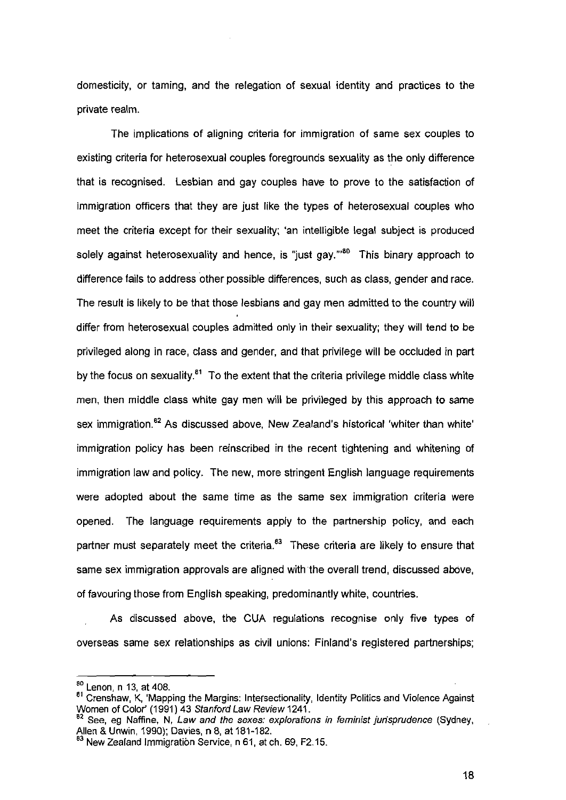domesticity, or taming, and the relegation of sexual identity and practices to the private realm.

The implications of aligning criteria for immigration of same sex couples to existing criteria for heterosexual couples foregrounds sexuality as the only difference that is recognised. Lesbian and gay couples have to prove to the satisfaction of immigration officers that they are just like the types of heterosexual couples who meet the criteria except for their sexuality; 'an intelligible legal subject is produced solely against heterosexuality and hence, is "just gay."<sup>80</sup> This binary approach to difference fails to address other possible differences, such as class, gender and race. The result is likely to be that those lesbians and gay men admitted to the country will differ from heterosexual couples admitted only in their sexuality; they will tend to be privileged along in race, class and gender, and that privilege will be occluded in part by the focus on sexuality. $81$  To the extent that the criteria privilege middle class white men, then middle class white gay men will be privileged by this approach to same sex immigration.<sup>82</sup> As discussed above. New Zealand's historical 'whiter than white' immigration policy has been reinscribed in the recent tightening and whitening of immigration law and policy. The new, more stringent English language requirements were adopted about the same time as the same sex immigration criteria were opened. The language requirements apply to the partnership policy, and each partner must separately meet the criteria. $^{83}$  These criteria are likely to ensure that same sex immigration approvals are aligned with the overall trend, discussed above, of favouring those from English speaking, predominantly white, countries.

As discussed above, the CUA regulations recognise only five types of overseas same sex relationships as civil unions: Finland's registered partnerships;

<sup>&</sup>lt;sup>80</sup> Lenon, n 13, at 408.<br><sup>81</sup> Crenshaw, K, 'Mapping the Margins: Intersectionality, Identity Politics and Violence Against Women of Color' **(1 991** ) **43** Stanford Law Review **1241.** 

 $82$  See, eg Naffine, N, Law and the sexes: explorations in feminist junsprudence (Sydney, Allen *8* Unwin, **1990);** Davies, n **8,** at **181-182.** 

<sup>83</sup> New Zealand Immigration Service, n **61,** at ch. **69. F2.15.**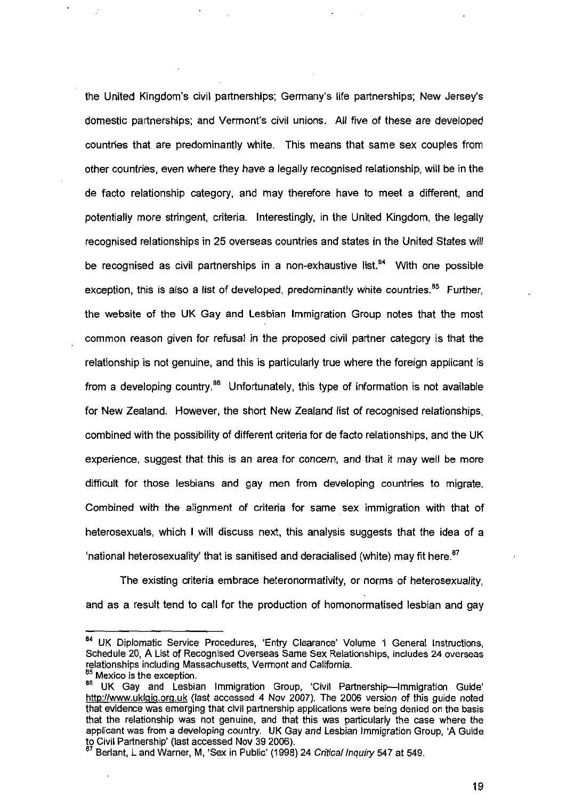the United Kingdom's civil partnerships; Germany's life partnerships; New Jersey's domestic partnerships; and Vermont's civil unions. All five of these are developed countries that are predominantly white. This means that same sex couples from other countries, even where they have a legally recognised relationship, will be in the de facto relationship category, and may therefore have to meet a different, and potentially more stringent, criteria. Interestingly, in the United Kingdom, the legally recognised relationships in **25** overseas countries and states in the United States will be recognised as civil partnerships in a non-exhaustive list.<sup>84</sup> With one possible exception, this is also a list of developed, predominantly white countries. $^{85}$  Further, the website of the UK Gay and Lesbian Immigration Group notes that the most common reason given for refusal in the proposed civil partner category is that the relationship is not genuine, and this is particularly true where the foreign applicant is from a developing country.<sup>86</sup> Unfortunately, this type of information is not available for New Zealand. However, the short New Zealand list of recognised relationships, combined with the possibility of different criteria for de facto relationships, and the UK experience, suggest that this is an area for concern, and that it may well be more difficult for those lesbians and gay men from developing countries to migrate. Combined with the alignment of criteria for same sex immigration with that of heterosexuals, which I will discuss next, this analysis suggests that the idea of a 'national heterosexuality' that is sanitised and deracialised (white) may fit here. $87$ 

The existing criteria embrace heteronormativity, or norms of heterosexuality, and as a result tend to call for the production of homonormatised lesbian and gay

**<sup>84</sup>UK** Diplomatic Service Procedures. 'Entry Clearance' Volume 1 General Instructions, Schedule 20, A List of Recognised Overseas Same Sex Relationships, includes 24 overseas relationships including Massachusetts, Vermont and California.  $\delta$  Mexico is the exception.

<sup>86</sup> UK Gay and Lesbian Immigration Group, 'Civil Partnership--Immigration Guide' http://www.uklgig.org.uk (last accessed 4 Nov 2007). The 2006 version of this guide noted that evidence was emerging that civil partnership applications were being denied on the basis that the relationship was not genuine, and that this was particularly the case where the that the relationship was not genuine, and that this was particularly the case where the applicant was from a developing country. **UK** Gay and Lesbian lmmigration Group, 'A Guide g Civil Partnership' (last accessed Nov 39 2006).

Berlant, L and Warner, M, 'Sex in Public' (1998) 24 Critical Inquiry 547 at 549.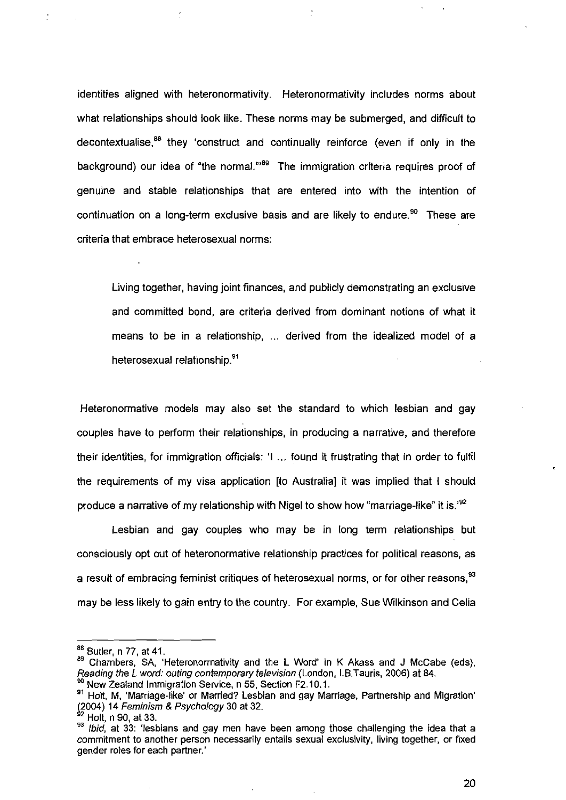identities aligned with heteronormativity. Heteronormativity includes norms about what relationships should look like. These norms may be submerged, and difficult to decontextualise, $^{88}$  they 'construct and continually reinforce (even if only in the background) our idea of "the normal."<sup>89</sup> The immigration criteria requires proof of genuine and stable relationships that are entered into with the intention of continuation on a long-term exclusive basis and are likely to endure.<sup>90</sup> These are criteria that embrace heterosexual norms:

Living together, having joint finances, and publicly demonstrating an exclusive and committed bond, are criteria derived from dominant notions of what it means to be in a relationship, ... derived from the idealized model of a heterosexual relationship. $^{91}$ 

Heteronormative models may also set the standard to which lesbian and gay couples have to perform their relationships, in producing a narrative, and therefore their identities, for immigration officials: 'I ... found it frustrating that in order to fulfil the requirements of my visa application [to Australia] it was implied that I should produce a narrative of my relationship with Nigel to show how "marriage-like" it is.<sup>192</sup>

Lesbian and gay couples who may be in long term relationships but consciously opt out of heteronormative relationship practices for political reasons, as a result of embracing feminist critiques of heterosexual norms, or for other reasons, $^{93}$ may be less likely to gain entry to the country. For example, Sue Wilkinson and Celia

Butler, n 77, at **41.** 

<sup>&</sup>lt;sup>89</sup> Chambers, SA, 'Heteronormativity and the L Word' in K Akass and J McCabe (eds), Reading the L word: outing contemporary television (London, 1.B.Tauris. **2006)** at **84.**  New Zealand Immigration Service, n 55, Section **F2.10.1.** 

<sup>&</sup>lt;sup>91</sup> Holt, M, 'Marriage-like' or Married? Lesbian and gay Marriage, Partnership and Migration' **2004) 14** Feminism & Psychology **30** at **32.** " Holt, n **90,** at **33.** 

**<sup>93</sup>**ibid, at **33:** 'lesbians and gay men have been among those challenging the idea that a commitment to another person necessarily entails sexual exclusivity, living together, or fixed gender roles for each partner.'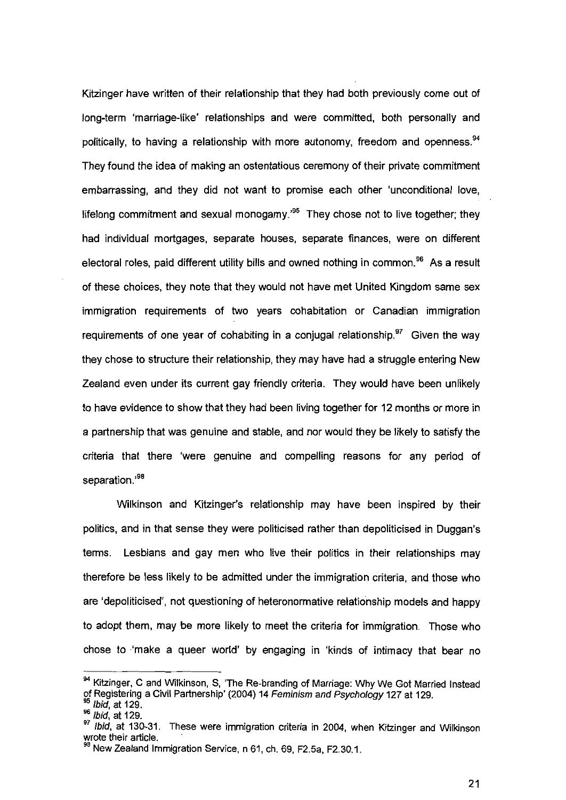Kitzinger have written of their relationship that they had both previously come out of long-term 'marriage-like' relationships and were committed, both personally and politically, to having a relationship with more autonomy, freedom and openness.<sup>94</sup> They found the idea of making an ostentatious ceremony of their private commitment embarrassing, and they did not want to promise each other 'unconditional love, lifelong commitment and sexual monogamy.<sup>95</sup> They chose not to live together; they had individual mortgages, separate houses, separate finances, were on different electoral roles, paid different utility bills and owned nothing in common.<sup>96</sup> As a result of these choices, they note that they would not have met United Kingdom same sex immigration requirements of two years cohabitation or Canadian immigration requirements of one year of cohabiting in a conjugal relationship. $97$  Given the way they chose to structure their relationship, they may have had a struggle entering New Zealand even under its current gay friendly criteria. They would have been unlikely to have evidence to show that they had been living together for 12 months or more in a partnership that was genuine and stable, and nor would they be likely to satisfy the criteria that there 'were genuine and compelling reasons for any period of separation.'98

Wilkinson and Kitzinger's relationship may have been inspired by their politics, and in that sense they were politicised rather than depoliticised in Duggan's terms. Lesbians and gay men who live their politics in their relationships may therefore be less likely to be admitted under the immigration criteria, and those who are 'depoliticised', not questioning of heteronormative relationship models and happy to adopt them, may be more likely to meet the criteria for immigration. Those who chose to 'make a queer world' by engaging in 'kinds of intimacy that bear no

-

<sup>&</sup>lt;sup>94</sup> Kitzinger, C and Wilkinson, S, 'The Re-branding of Marriage: Why We Got Married Instead of Registering a Civil Partnership' (2004) 14 Feminism and Psychology 127 at 129. " Ibid, **at** 129.

 $96$  *lbid*, at 129.

<sup>97</sup> Ibid, at 130-31. These were immigration criteria in 2004, when Kitzinger and Wilkinson wrote their article.

New Zealand Immigration Service, n 61, ch. 69, F2.5a, F2.30.1.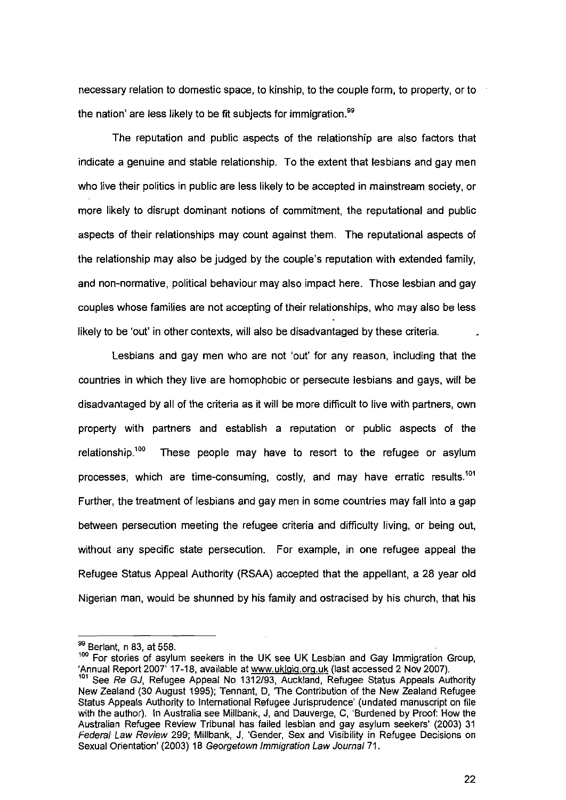necessary relation to domestic space, to kinship, to the couple form, to property, or to the nation' are less likely to be fit subjects for immigration.<sup>99</sup>

The reputation and public aspects of the relationship are also factors that indicate a genuine and stable relationship. To the extent that lesbians and gay men who live their politics in public are less likely to be accepted in mainstream society, or more likely to disrupt dominant notions of commitment, the reputational and public aspects of their relationships may count against them. The reputational aspects of the relationship may also be judged by the couple's reputation with extended family, and non-normative, political behaviour may also impact here. Those lesbian and gay couples whose families are not accepting of their relationships, who may also be less likely to be 'out' in other contexts, will also be disadvantaged by these criteria.

Lesbians and gay men who are not 'out' for any reason, including that the countries in which they live are homophobic or persecute lesbians and gays, will be disadvantaged by all of the criteria as it will be more difficult to live with partners, own property with partners and establish a reputation or public aspects of the relationship.<sup>100</sup> These people may have to resort to the refugee or asylum processes, which are time-consuming, costly, and may have erratic results.<sup>101</sup> Further, the treatment of lesbians and gay men in some countries may fall into a gap between persecution meeting the refugee criteria and difficulty living, or being out, without any specific state persecution. For example, in one refugee appeal the Refugee Status Appeal Authority (RSAA) accepted that the appellant, a 28 year old Nigerian man, would be shunned by his family and ostracised by his church, that his

<sup>100</sup> For stories of asylum seekers in the UK see UK Lesbian and Gay Immigration Group, Annual Report 2007' 17-18, available at www.uklgig.org.uk (last accessed 2 Nov 2007). <sup>101</sup> See Re GJ, Refugee Appeal No 1312/93, Auckland, Refugee Status Appeals Authority New Zealand (30 August 1995); Tennant, D, 'The Contribution of the New Zealand Refugee Status Appeals Authority to International Refugee Jurisprudence' (undated manuscript on file with the author). In Australia see Millbank, J, and Dauverge, C, 'Burdened by Proof: How the Australian Refugee Review Tribunal has failed lesbian and gay asylum seekers' (2003) 31 Federal Law Review 299; Millbank, J, 'Gender, Sex and Visibility in Refugee Decisions on Sexual Orientation' (2003) 18 Georgetown lmmigration Law Journal 71.

<sup>&</sup>lt;sup>99</sup> Berlant, n 83, at 558.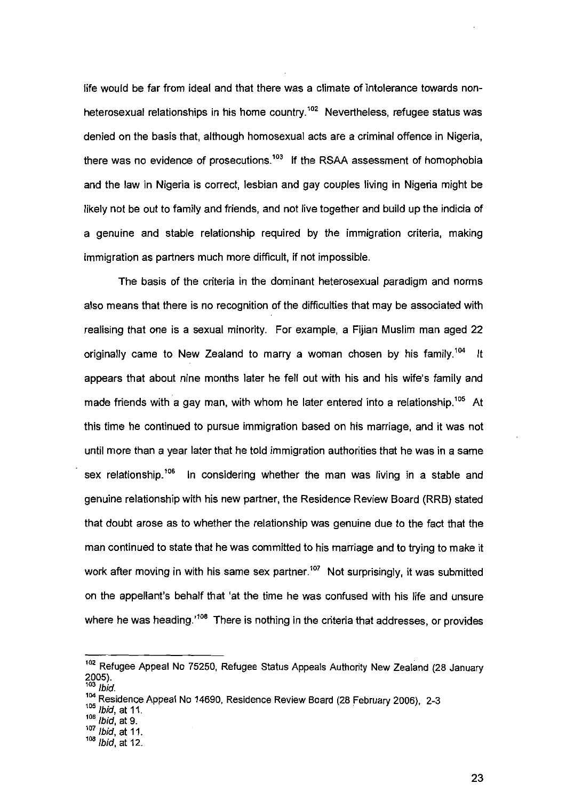life would be far from ideal and that there was a climate of intolerance towards nonheterosexual relationships in his home country.<sup>102</sup> Nevertheless, refugee status was denied on the basis that, although homosexual acts are a criminal offence in Nigeria, there was no evidence of prosecutions.<sup>103</sup> If the RSAA assessment of homophobia and the law in Nigeria is correct, lesbian and gay couples living in Nigeria might be likely not be out to family and friends, and not live together and build up the indicia of a genuine and stable relationship required by the immigration criteria, making immigration as partners much more difficult, if not impossible.

The basis of the criteria in the dominant heterosexual paradigm and norms also means that there is no recognition of the difficulties that may be associated with realising that one is a sexual minority. For example, a Fijian Muslim man aged 22 originally came to New Zealand to marry a woman chosen by his family.<sup>104</sup> It appears that about nine months later he fell out with his and his wife's family and made friends with a gay man, with whom he later entered into a relationship.<sup>105</sup> At this time he continued to pursue immigration based on his marriage, and it was not until more than a year later that he told immigration authorities that he was in a same sex relationship.<sup>106</sup> In considering whether the man was living in a stable and genuine relationship with his new partner, the Residence Review Board (RRB) stated that doubt arose as to whether the relationship was genuine due to the fact that the man continued to state that he was committed to his marriage and to trying to make it work after moving in with his same sex partner.<sup>107</sup> Not surprisingly, it was submitted on the appellant's behalf that 'at the time he was confused with his life and unsure where he was heading.<sup>108</sup> There is nothing in the criteria that addresses, or provides

<sup>&</sup>lt;sup>102</sup> Refugee Appeal No 75250, Refugee Status Appeals Authority New Zealand (28 January 2005).

 $^{103}$  Ibid.

**<sup>&#</sup>x27;Ob** Residence Appeal No 14690, Residence Review Board (28 February 2006). 2-3

Ibid, at 11.

Ibid, at 9.

 $\frac{107}{108}$  /bid, at 11.

<sup>/</sup>bid, at 12.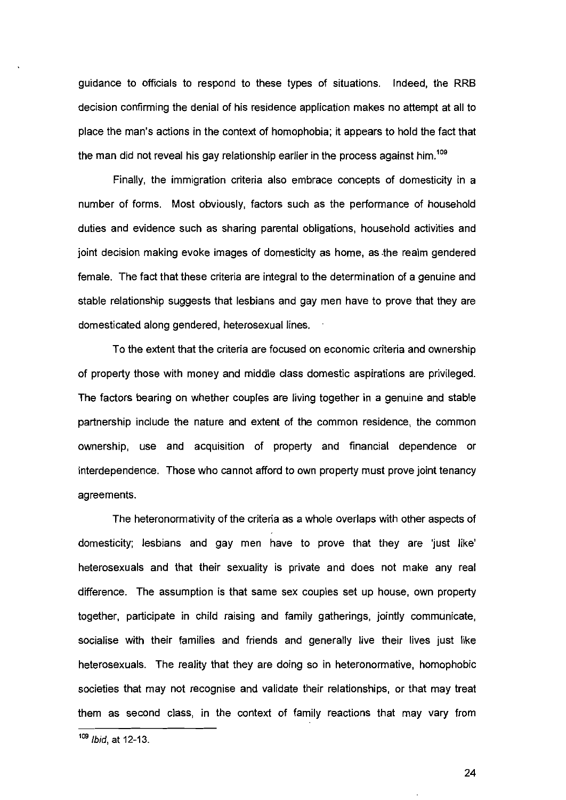guidance to officials to respond to these types of situations. Indeed, the RRB decision confirming the denial of his residence application makes no attempt at all to place the man's actions in the context of homophobia; it appears to hold the fact that the man did not reveal his gay relationship earlier in the process against him.<sup>109</sup>

Finally, the immigration criteria also embrace concepts of domesticity in a number of forms. Most obviously, factors such as the performance of household duties and evidence such as sharing parental obligations, household activities and joint decision making evoke images of domesticity as home, as the realm gendered female. The fact that these criteria are integral to the determination of a genuine and stable relationship suggests that lesbians and gay men have to prove that they are domesticated along gendered, heterosexual lines.

To the extent that the criteria are focused on economic criteria and ownership of property those with money and middle class domestic aspirations are privileged. The factors bearing on whether couples are living together in a genuine and stable partnership include the nature and extent of the common residence, the common ownership, use and acquisition of property and financial dependence or interdependence. Those who cannot afford to own property must prove joint tenancy agreements.

The heteronormativity of the criteria as a whole overlaps with other aspects of domesticity; lesbians and gay men have to prove that they are 'just like' heterosexuals and that their sexuality is private and does not make any real difference. The assumption is that same sex couples set up house, own property together, participate in child raising and family gatherings, jointly communicate, socialise with their families and friends and generally live their lives just like heterosexuals. The reality that they are doing so in heteronormative, homophobic societies that may not recognise and validate their relationships, or that may treat them as second class, in the context of family reactions that may vary from

<sup>&#</sup>x27;09 **/bid, at** 12-13.